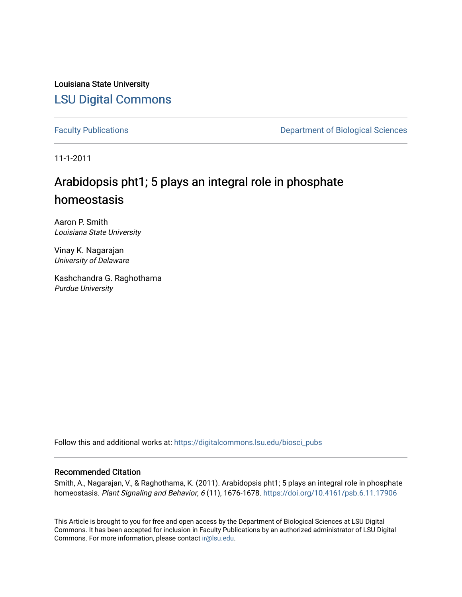Louisiana State University [LSU Digital Commons](https://digitalcommons.lsu.edu/)

[Faculty Publications](https://digitalcommons.lsu.edu/biosci_pubs) **Exercise 2 and Table 2 and Table 2 and Table 2 and Table 2 and Table 2 and Table 2 and Table 2 and Table 2 and Table 2 and Table 2 and Table 2 and Table 2 and Table 2 and Table 2 and Table 2 and Table** 

11-1-2011

### Arabidopsis pht1; 5 plays an integral role in phosphate homeostasis

Aaron P. Smith Louisiana State University

Vinay K. Nagarajan University of Delaware

Kashchandra G. Raghothama Purdue University

Follow this and additional works at: [https://digitalcommons.lsu.edu/biosci\\_pubs](https://digitalcommons.lsu.edu/biosci_pubs?utm_source=digitalcommons.lsu.edu%2Fbiosci_pubs%2F3196&utm_medium=PDF&utm_campaign=PDFCoverPages)

### Recommended Citation

Smith, A., Nagarajan, V., & Raghothama, K. (2011). Arabidopsis pht1; 5 plays an integral role in phosphate homeostasis. Plant Signaling and Behavior, 6 (11), 1676-1678.<https://doi.org/10.4161/psb.6.11.17906>

This Article is brought to you for free and open access by the Department of Biological Sciences at LSU Digital Commons. It has been accepted for inclusion in Faculty Publications by an authorized administrator of LSU Digital Commons. For more information, please contact [ir@lsu.edu](mailto:ir@lsu.edu).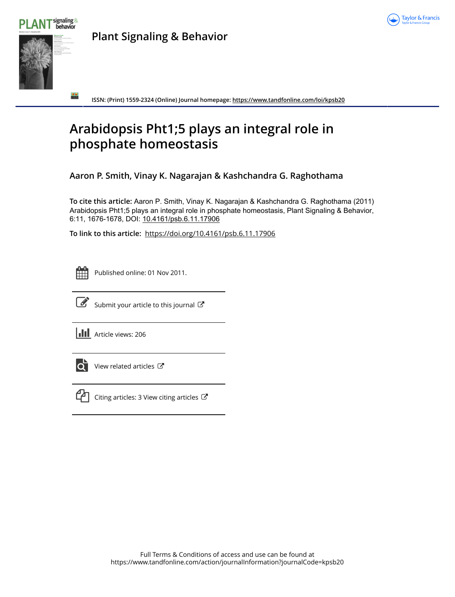



**Plant Signaling & Behavior**

**ISSN: (Print) 1559-2324 (Online) Journal homepage:<https://www.tandfonline.com/loi/kpsb20>**

## **Arabidopsis Pht1;5 plays an integral role in phosphate homeostasis**

**Aaron P. Smith, Vinay K. Nagarajan & Kashchandra G. Raghothama**

**To cite this article:** Aaron P. Smith, Vinay K. Nagarajan & Kashchandra G. Raghothama (2011) Arabidopsis Pht1;5 plays an integral role in phosphate homeostasis, Plant Signaling & Behavior, 6:11, 1676-1678, DOI: [10.4161/psb.6.11.17906](https://www.tandfonline.com/action/showCitFormats?doi=10.4161/psb.6.11.17906)

**To link to this article:** <https://doi.org/10.4161/psb.6.11.17906>



Published online: 01 Nov 2011.



 $\overrightarrow{S}$  [Submit your article to this journal](https://www.tandfonline.com/action/authorSubmission?journalCode=kpsb20&show=instructions)  $\overrightarrow{S}$ 

**III** Article views: 206



 $\overline{\mathbf{C}}$  [View related articles](https://www.tandfonline.com/doi/mlt/10.4161/psb.6.11.17906)  $\mathbf{C}$ 



 $\mathbb{C}$  [Citing articles: 3 View citing articles](https://www.tandfonline.com/doi/citedby/10.4161/psb.6.11.17906#tabModule)  $\mathbb{C}$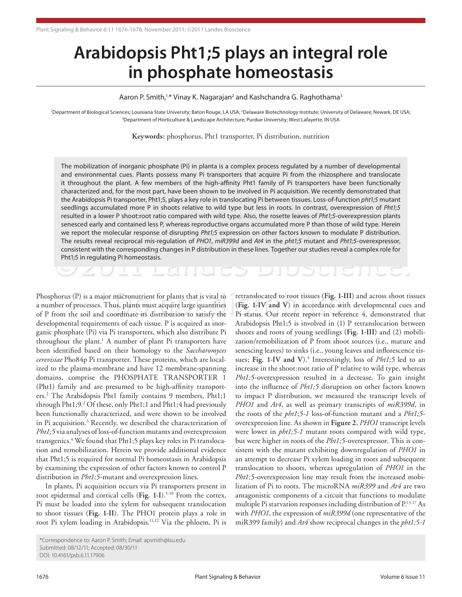# **Arabidopsis Pht1;5 plays an integral role in phosphate homeostasis**

Aaron P. Smith,<sup>1,\*</sup> Vinay K. Nagarajan<sup>2</sup> and Kashchandra G. Raghothama<sup>3</sup>

'Department of Biological Sciences; Louisiana State University; Baton Rouge, LA USA; <sup>2</sup>Delaware Biotechnology Institute; University of Delaware; Newark, DE USA; 3 Department of Horticulture & Landscape Architecture; Purdue University; West Lafayette, IN USA

**Keywords:** phosphorus, Pht1 transporter, Pi distribution, nutrition

Consistent with the corresponding changes in P distribution in these lines. Together our studies reveal a complex role for<br>
Pht1;5 in regulating Pi homeostasis.<br>
Consider the consistent with the corresponding changes in P The mobilization of inorganic phosphate (Pi) in planta is a complex process regulated by a number of developmental and environmental cues. Plants possess many Pi transporters that acquire Pi from the rhizosphere and translocate it throughout the plant. A few members of the high-affinity Pht1 family of Pi transporters have been functionally characterized and, for the most part, have been shown to be involved in Pi acquisition. We recently demonstrated that the Arabidopsis Pi transporter, Pht1;5, plays a key role in translocating Pi between tissues. Loss-of-function *pht1;5* mutant seedlings accumulated more P in shoots relative to wild type but less in roots. In contrast, overexpression of *Pht1;5* resulted in a lower P shoot:root ratio compared with wild type. Also, the rosette leaves of *Pht1;5*-overexpression plants senesced early and contained less P, whereas reproductive organs accumulated more P than those of wild type. Herein we report the molecular response of disrupting *Pht1;5* expression on other factors known to modulate P distribution. The results reveal reciprocal mis-regulation of *PHO1*, *miR399d* and *At4* in the *pht1;5* mutant and *Pht1;5*-overexpressor, Pht1;5 in regulating Pi homeostasis.

Phosphorus (P) is a major macronutrient for plants that is vital to a number of processes. Thus, plants must acquire large quantities of P from the soil and coordinate its distribution to satisfy the developmental requirements of each tissue. P is acquired as inorganic phosphate (Pi) via Pi transporters, which also distribute Pi throughout the plant.<sup>1</sup> A number of plant Pi transporters have been identified based on their homology to the *Saccharomyces cerevisiae* Pho84p Pi transporter. These proteins, which are localized to the plasma-membrane and have 12 membrane-spanning domains, comprise the PHOSPHATE TRANSPORTER 1 (Pht1) family and are presumed to be high-affinity transporters.2 The Arabidopsis Pht1 family contains 9 members, Pht1;1 through Pht1;9.2 Of these, only Pht1;1 and Pht1;4 had previously been functionally characterized, and were shown to be involved in Pi acquisition.<sup>3</sup> Recently, we described the characterization of *Pht1;5* via analyses of loss-of-function mutants and overexpression transgenics.4 We found that Pht1;5 plays key roles in Pi translocation and remobilization. Herein we provide additional evidence that Pht1;5 is required for normal Pi homeostasis in Arabidopsis by examining the expression of other factors known to control P distribution in *Pht1;5*-mutant and overexpression lines.

In plants, Pi acquisition occurs via Pi transporters present in root epidermal and cortical cells (Fig. 1-I).<sup>5-10</sup> From the cortex, Pi must be loaded into the xylem for subsequent translocation to shoot tissues (**Fig. 1-II**). The PHO1 protein plays a role in root Pi xylem loading in Arabidopsis.11,12 Via the phloem, Pi is

macronutrient for plants that is vital to retranslocated to root tissues (Fig. 1-III) and across shoot tissues<br>us, plants must acquire large quantities (Fig. 1-IV and V) in accordance with developmental cues and<br>ordinate i (**Fig. 1-IV and V**) in accordance with developmental cues and Pi status. Our recent report in reference 4, demonstrated that Arabidopsis Pht1;5 is involved in (1) P retranslocation between shoots and roots of young seedlings (**Fig. 1-III**) and (2) mobilization/remobilization of P from shoot sources (i.e., mature and senescing leaves) to sinks (i.e., young leaves and inflorescence tissues; Fig. 1-IV and V).<sup>4</sup> Interestingly, loss of *Pht1*;5 led to an increase in the shoot:root ratio of P relative to wild type, whereas *Pht1;5*-overexpression resulted in a decrease. To gain insight into the influence of *Pht1;5* disruption on other factors known to impact P distribution, we measured the transcript levels of *PHO1* and *At4*, as well as primary transcripts of *miR399d*, in the roots of the *pht1;5-1* loss-of-function mutant and a *Pht1;5* overexpression line. As shown in **Figure 2**, *PHO1* transcript levels were lower in *pht1;5-1* mutant roots compared with wild type, but were higher in roots of the *Pht1;5*-overexpressor. This is consistent with the mutant exhibiting downregulation of *PHO1* in an attempt to decrease Pi xylem loading in roots and subsequent translocation to shoots, whereas upregulation of *PHO1* in the *Pht1;5*-overexpression line may result from the increased mobilization of Pi to roots. The microRNA *miR399* and *At4* are two antagonistic components of a circuit that functions to modulate multiple Pi starvation responses including distribution of P.13-17 As with *PHO1*, the expression of *miR399d* (one representative of the miR399 family) and *At4* show reciprocal changes in the *pht1;5-1*

<sup>\*</sup>Correspondence to: Aaron P. Smith; Email: apsmith@lsu.edu Submitted: 08/12/11; Accepted: 08/30/11 DOI: 10.4161/psb.6.11.17906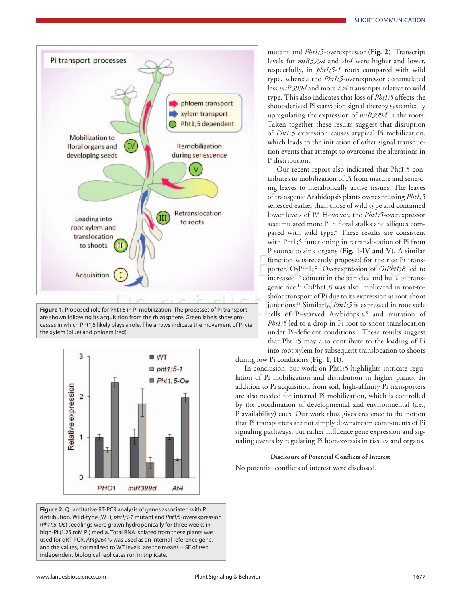

**Figure 1.** Proposed role for Pht1;5 in Pi mobilization. The processes of Pi transport are shown following its acquisition from the rhizosphere. Green labels show processes in which Pht1;5 likely plays a role. The arrows indicate the movement of Pi via the xylem (blue) and phloem (red).



**Figure 2.** Quantitative RT-PCR analysis of genes associated with P distribution. Wild-type (WT), *pht1;5-1* mutant and *Pht1;5*-overexpression (*Pht1;5-Oe*) seedlings were grown hydroponically for three weeks in high-Pi (1.25 mM Pi) media. Total RNA isolated from these plants was used for qRT-PCR. *At4g26410* was used as an internal reference gene, and the values, normalized to WT levels, are the means  $\pm$  SE of two independent biological replicates run in triplicate.

mutant and *Pht1;5*-overexpressor (**Fig. 2**). Transcript levels for *miR399d* and *At4* were higher and lower, respectfully, in *pht1;5-1* roots compared with wild type, whereas the *Pht1;5*-overexpressor accumulated less *miR399d* and more *At4* transcripts relative to wild type. This also indicates that loss of *Pht1;5* affects the shoot-derived Pi starvation signal thereby systemically upregulating the expression of *miR399d* in the roots. Taken together these results suggest that disruption of *Pht1;5* expression causes atypical Pi mobilization, which leads to the initiation of other signal transduction events that attempt to overcome the alterations in P distribution.

Pht1;5 in Pi mobilization. The processes of Pi transport<br>Pht1;5 in Pi mobilization. The processes of Pi transport<br>isition from the rhizosphere. Green labels show process that the CPI-starved Arabidopsis,<sup>8</sup> and Our recent report also indicated that Pht1;5 contributes to mobilization of Pi from mature and senescing leaves to metabolically active tissues. The leaves of transgenic Arabidopsis plants overexpressing *Pht1;5* senesced earlier than those of wild type and contained lower levels of P.<sup>4</sup> However, the *Pht1;5*-overexpressor accumulated more P in floral stalks and siliques compared with wild type.<sup>4</sup> These results are consistent with Pht1;5 functioning in retranslocation of Pi from P source to sink organs (**Fig. 1-IV and V**). A similar function was recently proposed for the rice Pi transporter, OsPht1;8. Overexpression of *OsPht1;8* led to increased P content in the panicles and hulls of transgenic rice.18 OsPht1;8 was also implicated in root-toshoot transport of Pi due to its expression at root-shoot junctions.<sup>18</sup> Similarly, *Pht1*;5 is expressed in root stele cells of Pi-starved Arabidopsis,<sup>8</sup> and mutation of *Pht1;5* led to a drop in Pi root-to-shoot translocation under Pi-deficient conditions.4 These results suggest that Pht1;5 may also contribute to the loading of Pi into root xylem for subsequent translocation to shoots

during low Pi conditions (**Fig. 1, II**).

In conclusion, our work on Pht1;5 highlights intricate regulation of Pi mobilization and distribution in higher plants. In addition to Pi acquisition from soil, high-affinity Pi transporters are also needed for internal Pi mobilization, which is controlled by the coordination of developmental and environmental (i.e., P availability) cues. Our work thus gives credence to the notion that Pi transporters are not simply downstream components of Pi signaling pathways, but rather influence gene expression and signaling events by regulating Pi homeostasis in tissues and organs.

### **Disclosure of Potential Conflicts of Interest**

No potential conflicts of interest were disclosed.